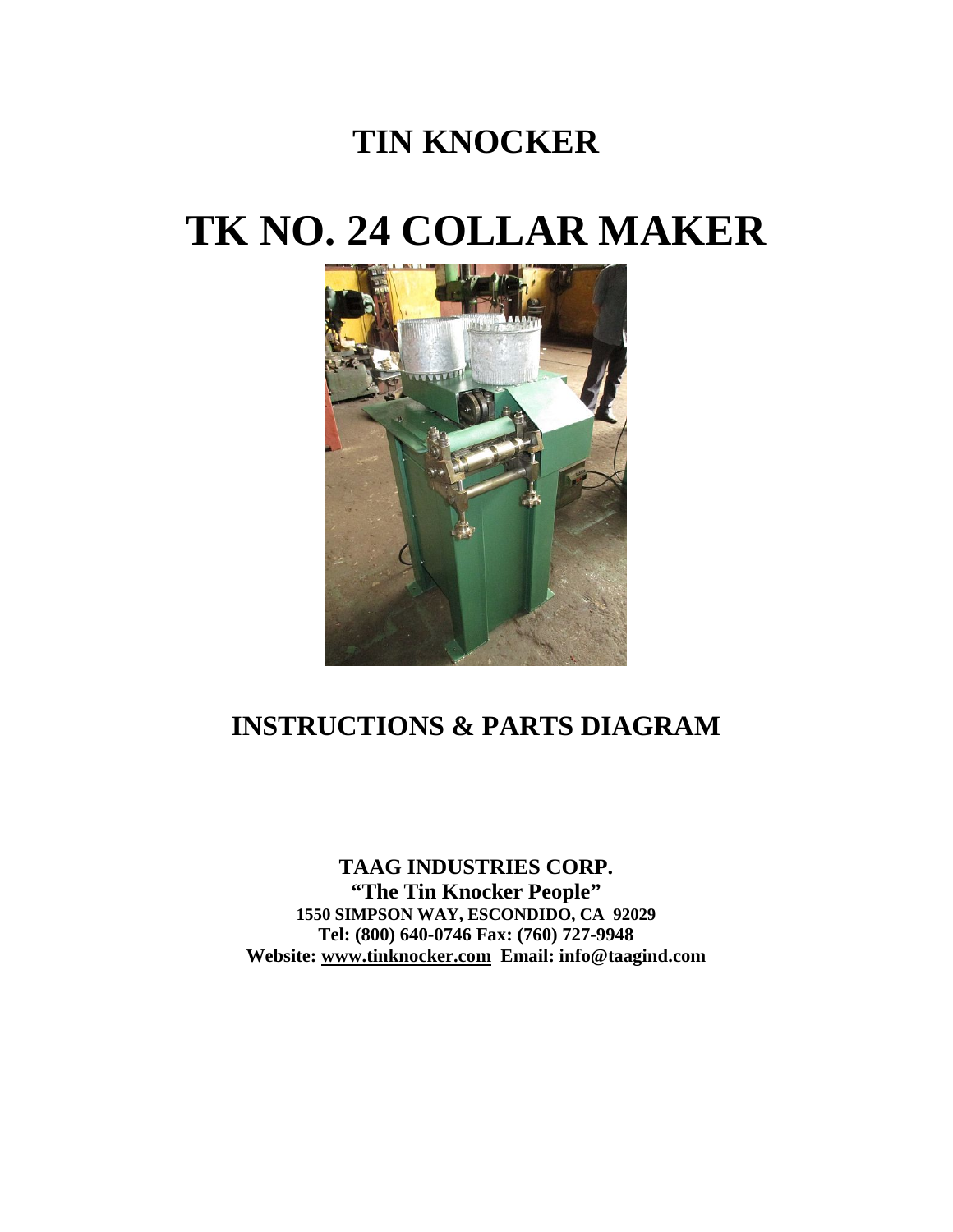## **TIN KNOCKER**

## **TK NO. 24 COLLAR MAKER**



## **INSTRUCTIONS & PARTS DIAGRAM**

**TAAG INDUSTRIES CORP. "The Tin Knocker People" 1550 SIMPSON WAY, ESCONDIDO, CA 92029 Tel: (800) 640-0746 Fax: (760) 727-9948 Website: [www.tinknocker.com](http://www.tinknocker.com/) Email: info@taagind.com**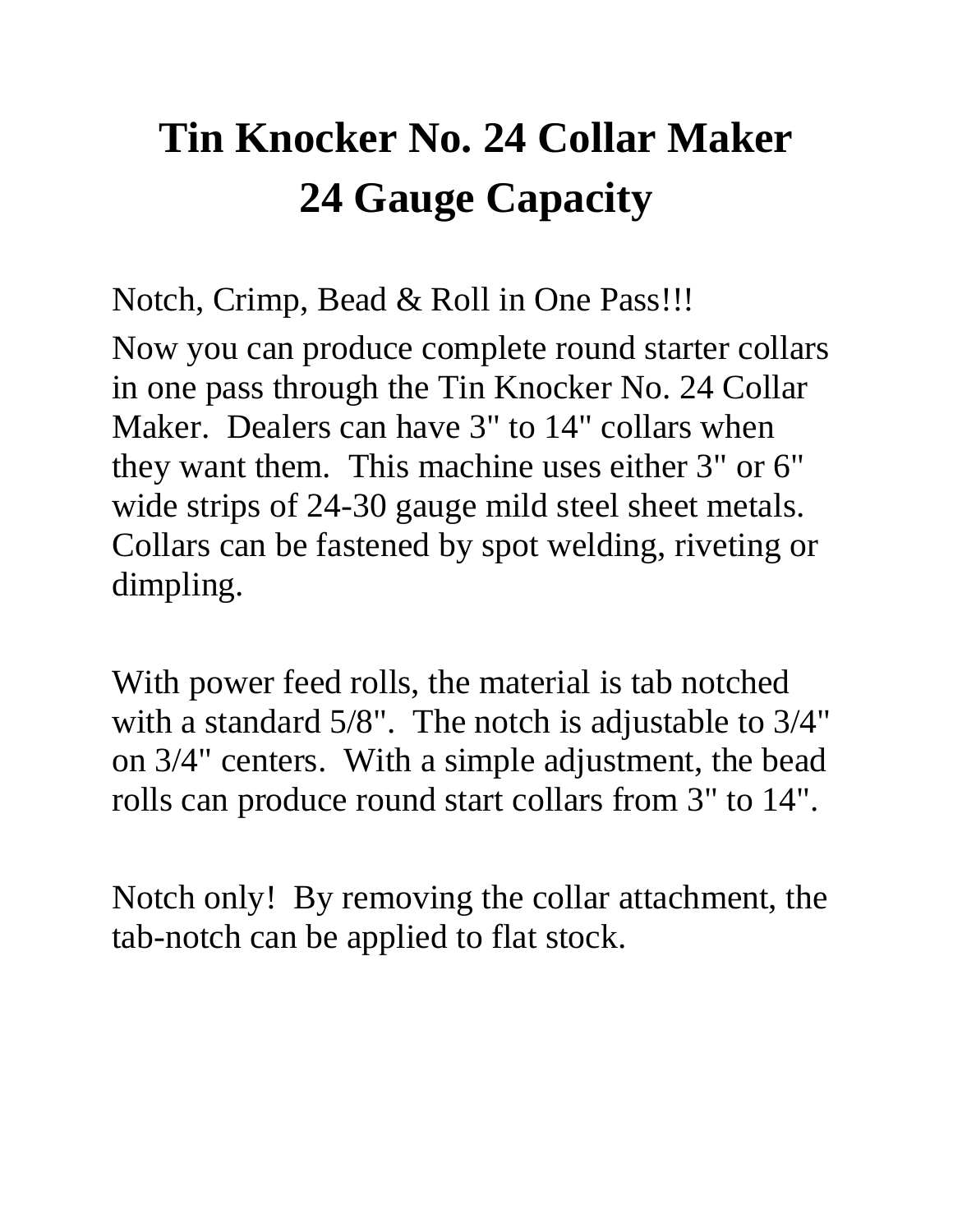# **Tin Knocker No. 24 Collar Maker 24 Gauge Capacity**

Notch, Crimp, Bead & Roll in One Pass!!! Now you can produce complete round starter collars in one pass through the Tin Knocker No. 24 Collar Maker. Dealers can have 3" to 14" collars when they want them. This machine uses either 3" or 6" wide strips of 24-30 gauge mild steel sheet metals. Collars can be fastened by spot welding, riveting or dimpling.

With power feed rolls, the material is tab notched with a standard 5/8". The notch is adjustable to 3/4" on 3/4" centers. With a simple adjustment, the bead rolls can produce round start collars from 3" to 14".

Notch only! By removing the collar attachment, the tab-notch can be applied to flat stock.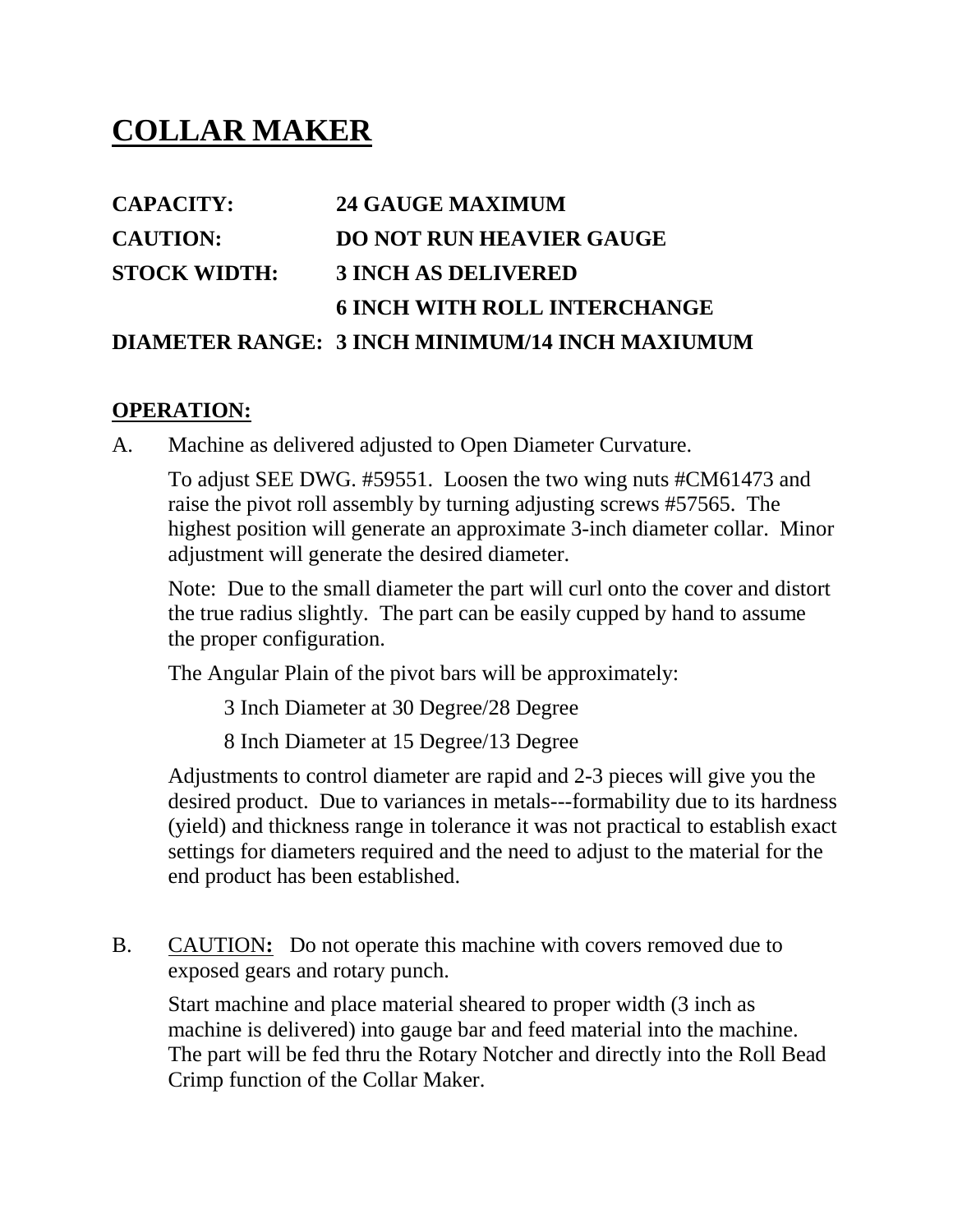## **COLLAR MAKER**

### **CAPACITY: 24 GAUGE MAXIMUM CAUTION: DO NOT RUN HEAVIER GAUGE STOCK WIDTH: 3 INCH AS DELIVERED 6 INCH WITH ROLL INTERCHANGE DIAMETER RANGE: 3 INCH MINIMUM/14 INCH MAXIUMUM**

#### **OPERATION:**

A. Machine as delivered adjusted to Open Diameter Curvature.

To adjust SEE DWG. #59551. Loosen the two wing nuts #CM61473 and raise the pivot roll assembly by turning adjusting screws #57565. The highest position will generate an approximate 3-inch diameter collar. Minor adjustment will generate the desired diameter.

Note: Due to the small diameter the part will curl onto the cover and distort the true radius slightly. The part can be easily cupped by hand to assume the proper configuration.

The Angular Plain of the pivot bars will be approximately:

3 Inch Diameter at 30 Degree/28 Degree

8 Inch Diameter at 15 Degree/13 Degree

Adjustments to control diameter are rapid and 2-3 pieces will give you the desired product. Due to variances in metals---formability due to its hardness (yield) and thickness range in tolerance it was not practical to establish exact settings for diameters required and the need to adjust to the material for the end product has been established.

B. CAUTION**:** Do not operate this machine with covers removed due to exposed gears and rotary punch.

Start machine and place material sheared to proper width (3 inch as machine is delivered) into gauge bar and feed material into the machine. The part will be fed thru the Rotary Notcher and directly into the Roll Bead Crimp function of the Collar Maker.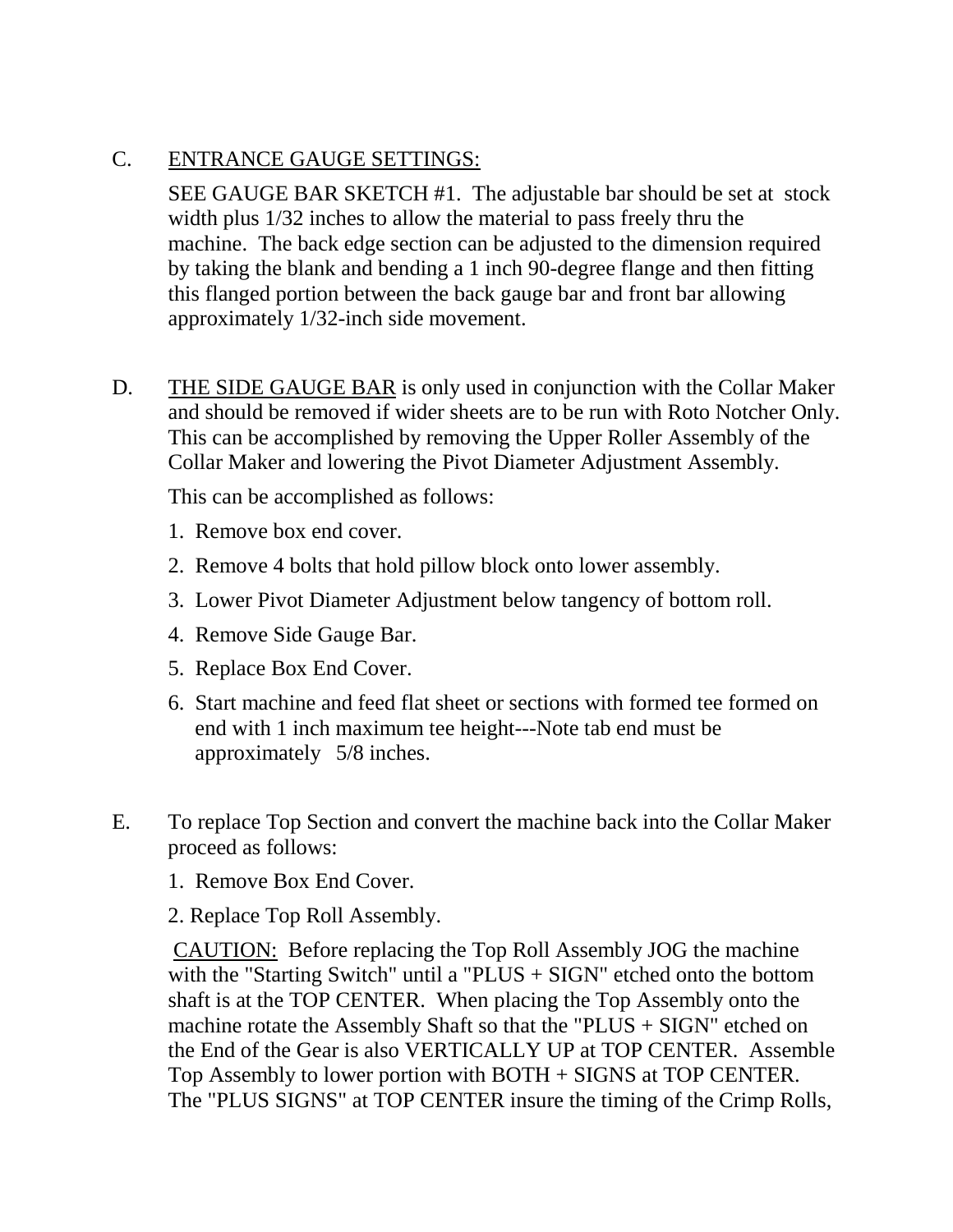#### C. ENTRANCE GAUGE SETTINGS:

SEE GAUGE BAR SKETCH #1. The adjustable bar should be set at stock width plus 1/32 inches to allow the material to pass freely thru the machine. The back edge section can be adjusted to the dimension required by taking the blank and bending a 1 inch 90-degree flange and then fitting this flanged portion between the back gauge bar and front bar allowing approximately 1/32-inch side movement.

D. THE SIDE GAUGE BAR is only used in conjunction with the Collar Maker and should be removed if wider sheets are to be run with Roto Notcher Only. This can be accomplished by removing the Upper Roller Assembly of the Collar Maker and lowering the Pivot Diameter Adjustment Assembly.

This can be accomplished as follows:

- 1. Remove box end cover.
- 2. Remove 4 bolts that hold pillow block onto lower assembly.
- 3. Lower Pivot Diameter Adjustment below tangency of bottom roll.
- 4. Remove Side Gauge Bar.
- 5. Replace Box End Cover.
- 6. Start machine and feed flat sheet or sections with formed tee formed on end with 1 inch maximum tee height---Note tab end must be approximately 5/8 inches.
- E. To replace Top Section and convert the machine back into the Collar Maker proceed as follows:
	- 1. Remove Box End Cover.

2. Replace Top Roll Assembly.

CAUTION: Before replacing the Top Roll Assembly JOG the machine with the "Starting Switch" until a "PLUS + SIGN" etched onto the bottom shaft is at the TOP CENTER. When placing the Top Assembly onto the machine rotate the Assembly Shaft so that the "PLUS + SIGN" etched on the End of the Gear is also VERTICALLY UP at TOP CENTER. Assemble Top Assembly to lower portion with BOTH + SIGNS at TOP CENTER. The "PLUS SIGNS" at TOP CENTER insure the timing of the Crimp Rolls,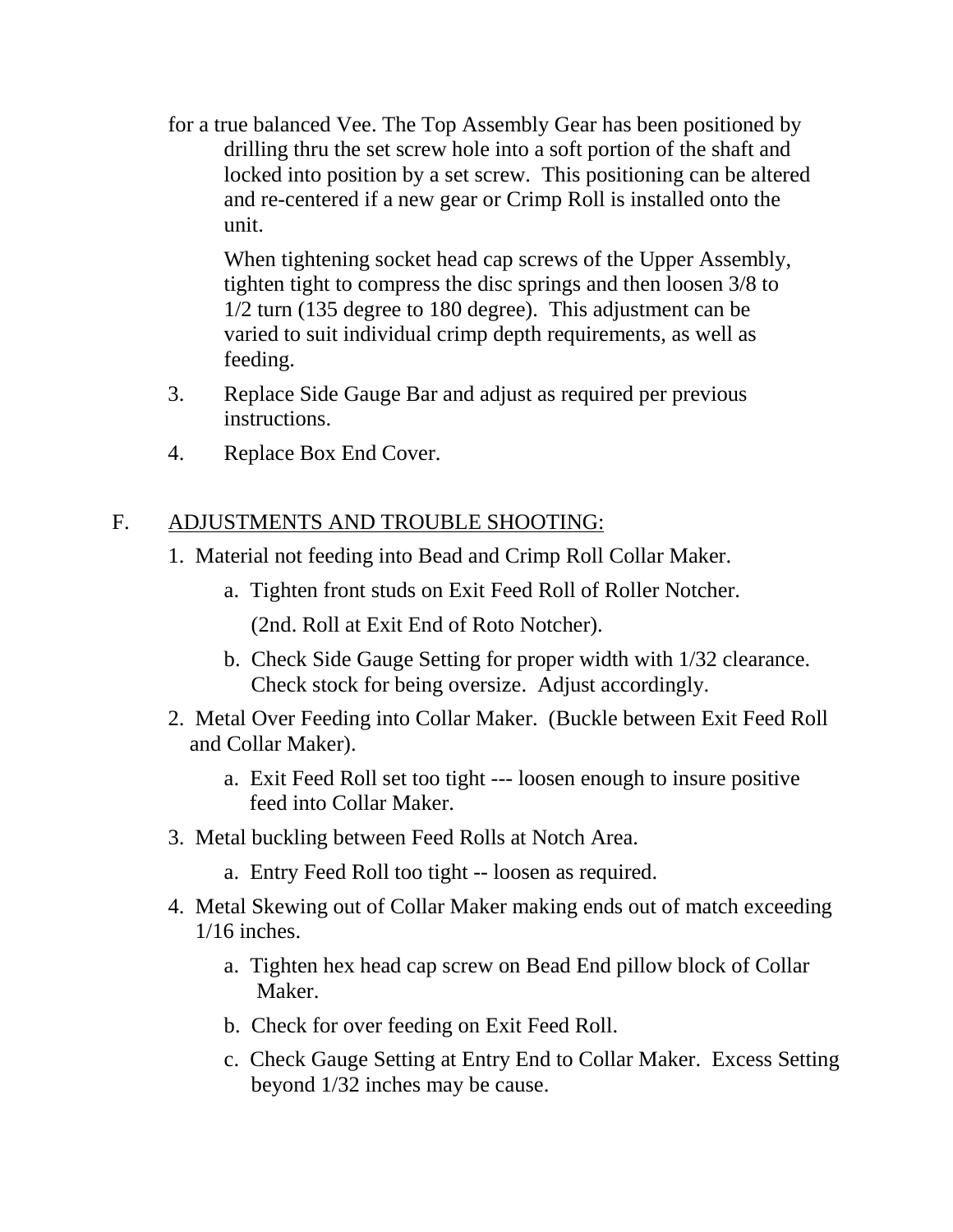for a true balanced Vee. The Top Assembly Gear has been positioned by drilling thru the set screw hole into a soft portion of the shaft and locked into position by a set screw. This positioning can be altered and re-centered if a new gear or Crimp Roll is installed onto the unit.

When tightening socket head cap screws of the Upper Assembly, tighten tight to compress the disc springs and then loosen 3/8 to 1/2 turn (135 degree to 180 degree). This adjustment can be varied to suit individual crimp depth requirements, as well as feeding.

- 3. Replace Side Gauge Bar and adjust as required per previous instructions.
- 4. Replace Box End Cover.

#### F. ADJUSTMENTS AND TROUBLE SHOOTING:

- 1. Material not feeding into Bead and Crimp Roll Collar Maker.
	- a. Tighten front studs on Exit Feed Roll of Roller Notcher.

(2nd. Roll at Exit End of Roto Notcher).

- b. Check Side Gauge Setting for proper width with 1/32 clearance. Check stock for being oversize. Adjust accordingly.
- 2. Metal Over Feeding into Collar Maker. (Buckle between Exit Feed Roll and Collar Maker).
	- a. Exit Feed Roll set too tight --- loosen enough to insure positive feed into Collar Maker.
- 3. Metal buckling between Feed Rolls at Notch Area.
	- a. Entry Feed Roll too tight -- loosen as required.
- 4. Metal Skewing out of Collar Maker making ends out of match exceeding 1/16 inches.
	- a. Tighten hex head cap screw on Bead End pillow block of Collar Maker.
	- b. Check for over feeding on Exit Feed Roll.
	- c. Check Gauge Setting at Entry End to Collar Maker. Excess Setting beyond 1/32 inches may be cause.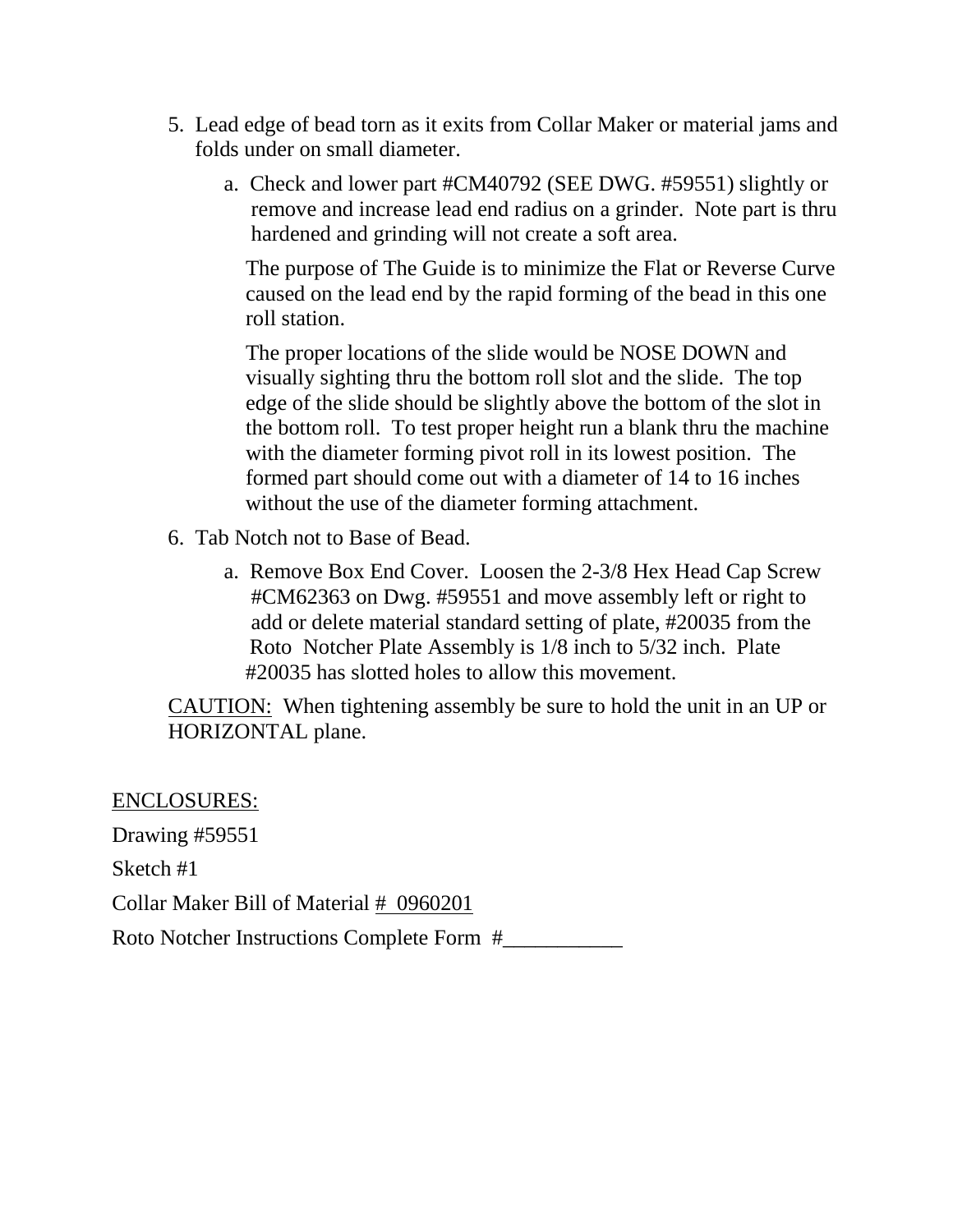- 5. Lead edge of bead torn as it exits from Collar Maker or material jams and folds under on small diameter.
	- a. Check and lower part #CM40792 (SEE DWG. #59551) slightly or remove and increase lead end radius on a grinder. Note part is thru hardened and grinding will not create a soft area.

 The purpose of The Guide is to minimize the Flat or Reverse Curve caused on the lead end by the rapid forming of the bead in this one roll station.

 The proper locations of the slide would be NOSE DOWN and visually sighting thru the bottom roll slot and the slide. The top edge of the slide should be slightly above the bottom of the slot in the bottom roll. To test proper height run a blank thru the machine with the diameter forming pivot roll in its lowest position. The formed part should come out with a diameter of 14 to 16 inches without the use of the diameter forming attachment.

- 6. Tab Notch not to Base of Bead.
	- a. Remove Box End Cover. Loosen the 2-3/8 Hex Head Cap Screw #CM62363 on Dwg. #59551 and move assembly left or right to add or delete material standard setting of plate, #20035 from the Roto Notcher Plate Assembly is 1/8 inch to 5/32 inch. Plate #20035 has slotted holes to allow this movement.

CAUTION: When tightening assembly be sure to hold the unit in an UP or HORIZONTAL plane.

ENCLOSURES: Drawing #59551 Sketch #1 Collar Maker Bill of Material # 0960201 Roto Notcher Instructions Complete Form #\_\_\_\_\_\_\_\_\_\_\_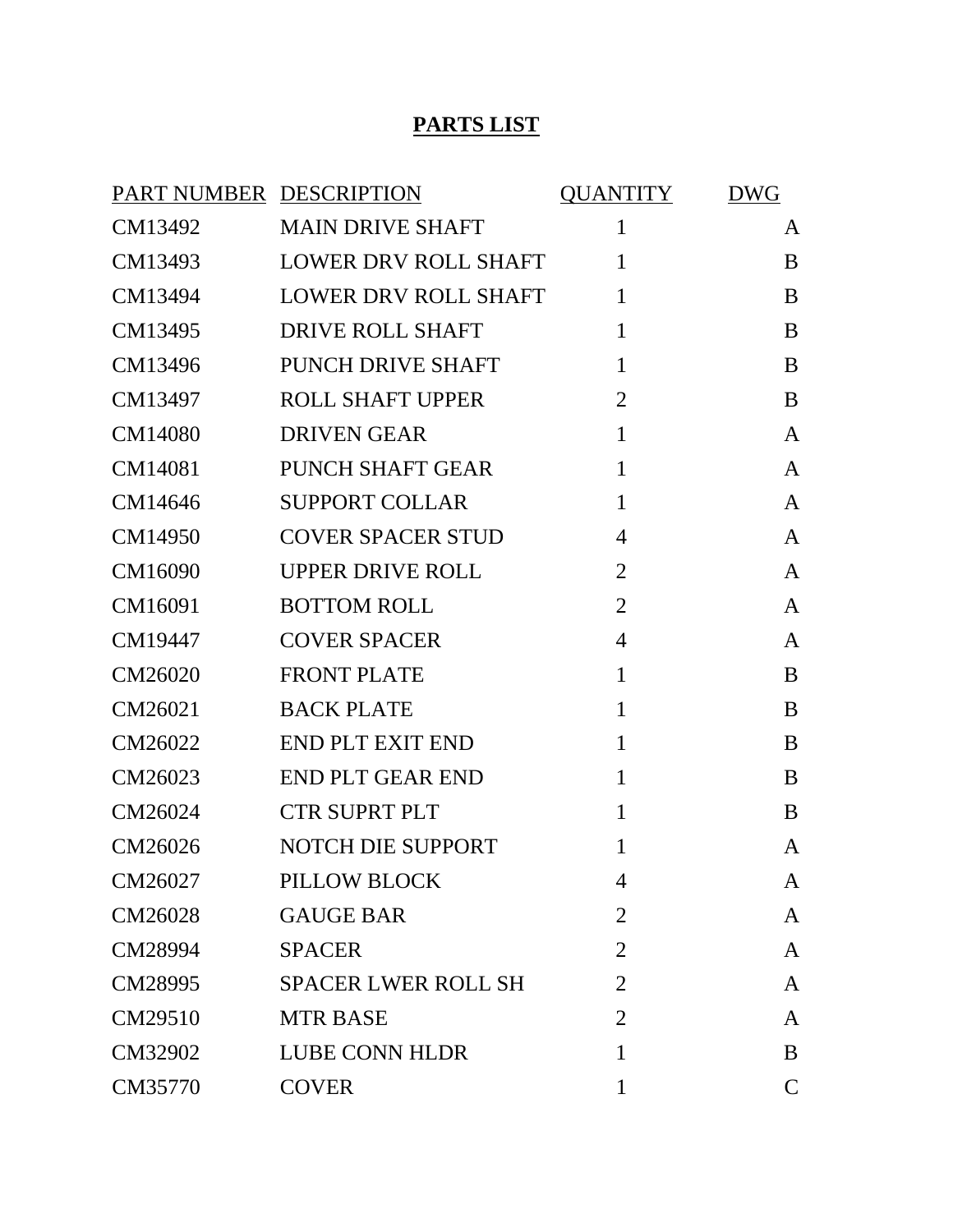#### **PARTS LIST**

| PART NUMBER DESCRIPTION |                             | <b>QUANTITY</b> | <b>DWG</b>   |
|-------------------------|-----------------------------|-----------------|--------------|
| CM13492                 | <b>MAIN DRIVE SHAFT</b>     | $\mathbf{1}$    | A            |
| CM13493                 | <b>LOWER DRV ROLL SHAFT</b> | $\mathbf{1}$    | B            |
| CM13494                 | LOWER DRV ROLL SHAFT        | $\mathbf{1}$    | B            |
| CM13495                 | <b>DRIVE ROLL SHAFT</b>     | $\mathbf{1}$    | B            |
| CM13496                 | PUNCH DRIVE SHAFT           | $\mathbf{1}$    | B            |
| CM13497                 | <b>ROLL SHAFT UPPER</b>     | $\overline{2}$  | B            |
| CM14080                 | <b>DRIVEN GEAR</b>          | $\mathbf{1}$    | A            |
| CM14081                 | <b>PUNCH SHAFT GEAR</b>     | $\mathbf{1}$    | A            |
| CM14646                 | <b>SUPPORT COLLAR</b>       | $\mathbf{1}$    | A            |
| CM14950                 | <b>COVER SPACER STUD</b>    | $\overline{4}$  | A            |
| CM16090                 | <b>UPPER DRIVE ROLL</b>     | $\overline{2}$  | A            |
| CM16091                 | <b>BOTTOM ROLL</b>          | $\overline{2}$  | A            |
| CM19447                 | <b>COVER SPACER</b>         | $\overline{4}$  | A            |
| CM26020                 | <b>FRONT PLATE</b>          | $\mathbf{1}$    | B            |
| CM26021                 | <b>BACK PLATE</b>           | $\mathbf{1}$    | B            |
| CM26022                 | <b>END PLT EXIT END</b>     | $\mathbf{1}$    | B            |
| CM26023                 | <b>END PLT GEAR END</b>     | $\mathbf{1}$    | B            |
| CM26024                 | <b>CTR SUPRT PLT</b>        | $\mathbf{1}$    | B            |
| CM26026                 | NOTCH DIE SUPPORT           | 1               | A            |
| CM26027                 | PILLOW BLOCK                | $\overline{4}$  | $\mathbf{A}$ |
| CM26028                 | <b>GAUGE BAR</b>            | $\overline{2}$  | A            |
| CM28994                 | <b>SPACER</b>               | $\overline{2}$  | A            |
| CM28995                 | <b>SPACER LWER ROLL SH</b>  | 2               | A            |
| CM29510                 | <b>MTR BASE</b>             | 2               | A            |
| CM32902                 | <b>LUBE CONN HLDR</b>       | 1               | B            |
| CM35770                 | <b>COVER</b>                | 1               | $\mathbf C$  |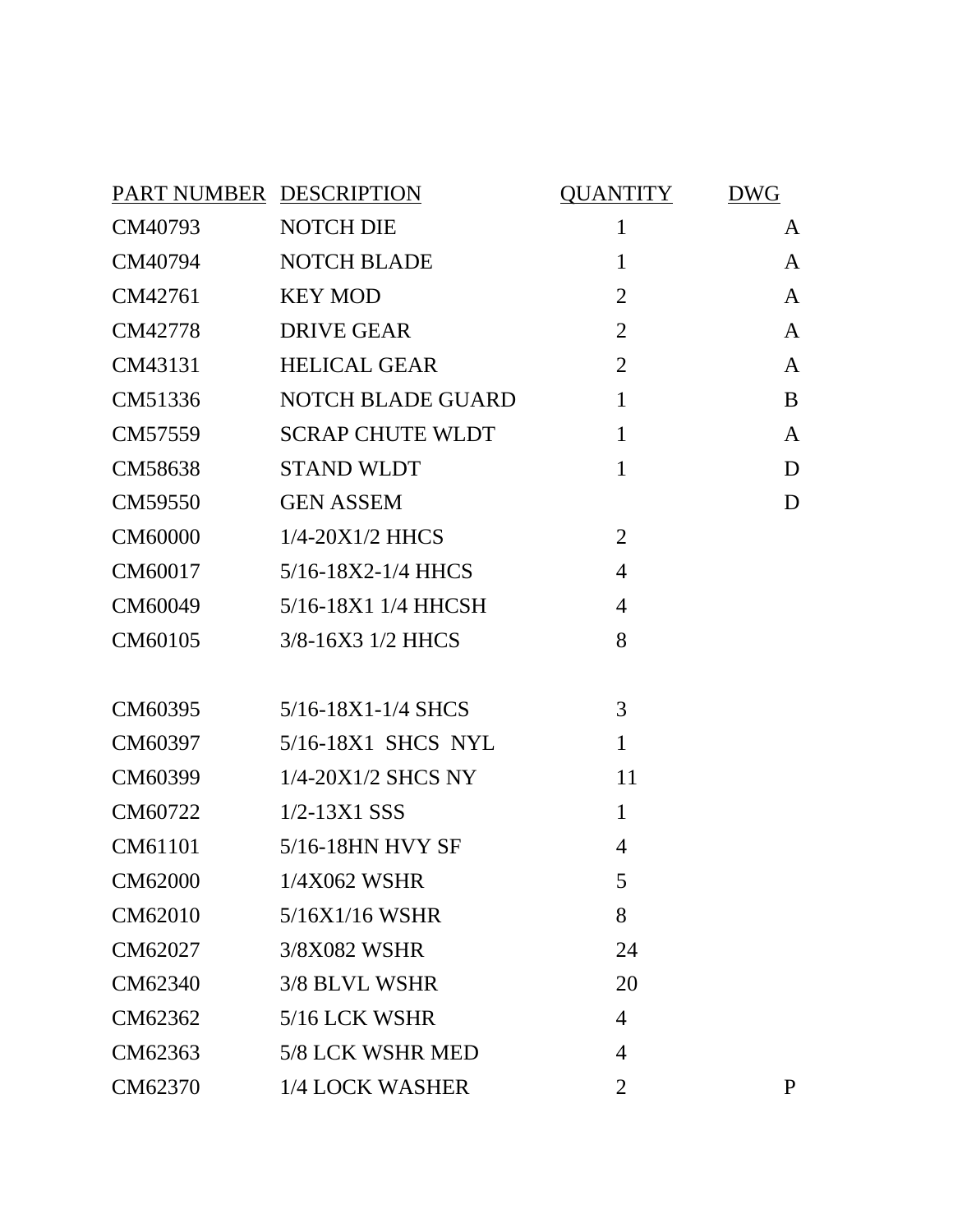| PART NUMBER DESCRIPTION |                          | QUANTITY       | <b>DWG</b>   |
|-------------------------|--------------------------|----------------|--------------|
| CM40793                 | <b>NOTCH DIE</b>         | $\mathbf{1}$   | A            |
| CM40794                 | <b>NOTCH BLADE</b>       | $\mathbf{1}$   | $\mathbf{A}$ |
| CM42761                 | <b>KEY MOD</b>           | $\overline{2}$ | A            |
| CM42778                 | <b>DRIVE GEAR</b>        | $\overline{2}$ | A            |
| CM43131                 | <b>HELICAL GEAR</b>      | $\overline{2}$ | A            |
| CM51336                 | <b>NOTCH BLADE GUARD</b> | $\mathbf{1}$   | B            |
| CM57559                 | <b>SCRAP CHUTE WLDT</b>  | $\mathbf{1}$   | A            |
| CM58638                 | <b>STAND WLDT</b>        | $\mathbf{1}$   | D            |
| CM59550                 | <b>GEN ASSEM</b>         |                | D            |
| CM60000                 | $1/4 - 20X1/2$ HHCS      | $\overline{2}$ |              |
| CM60017                 | 5/16-18X2-1/4 HHCS       | $\overline{4}$ |              |
| CM60049                 | 5/16-18X1 1/4 HHCSH      | $\overline{4}$ |              |
| CM60105                 | 3/8-16X3 1/2 HHCS        | 8              |              |
|                         |                          |                |              |
| CM60395                 | 5/16-18X1-1/4 SHCS       | 3              |              |
| CM60397                 | 5/16-18X1 SHCS NYL       | $\mathbf{1}$   |              |
| CM60399                 | $1/4$ -20X $1/2$ SHCS NY | 11             |              |
| CM60722                 | $1/2 - 13X1$ SSS         | $\mathbf{1}$   |              |
| CM61101                 | 5/16-18HN HVY SF         | 4              |              |
| CM62000                 | 1/4X062 WSHR             | 5              |              |
| CM62010                 | 5/16X1/16 WSHR           | 8              |              |
| CM62027                 | 3/8X082 WSHR             | 24             |              |
| CM62340                 | 3/8 BLVL WSHR            | 20             |              |
| CM62362                 | 5/16 LCK WSHR            | $\overline{4}$ |              |
| CM62363                 | 5/8 LCK WSHR MED         | 4              |              |
| CM62370                 | 1/4 LOCK WASHER          | $\overline{2}$ | P            |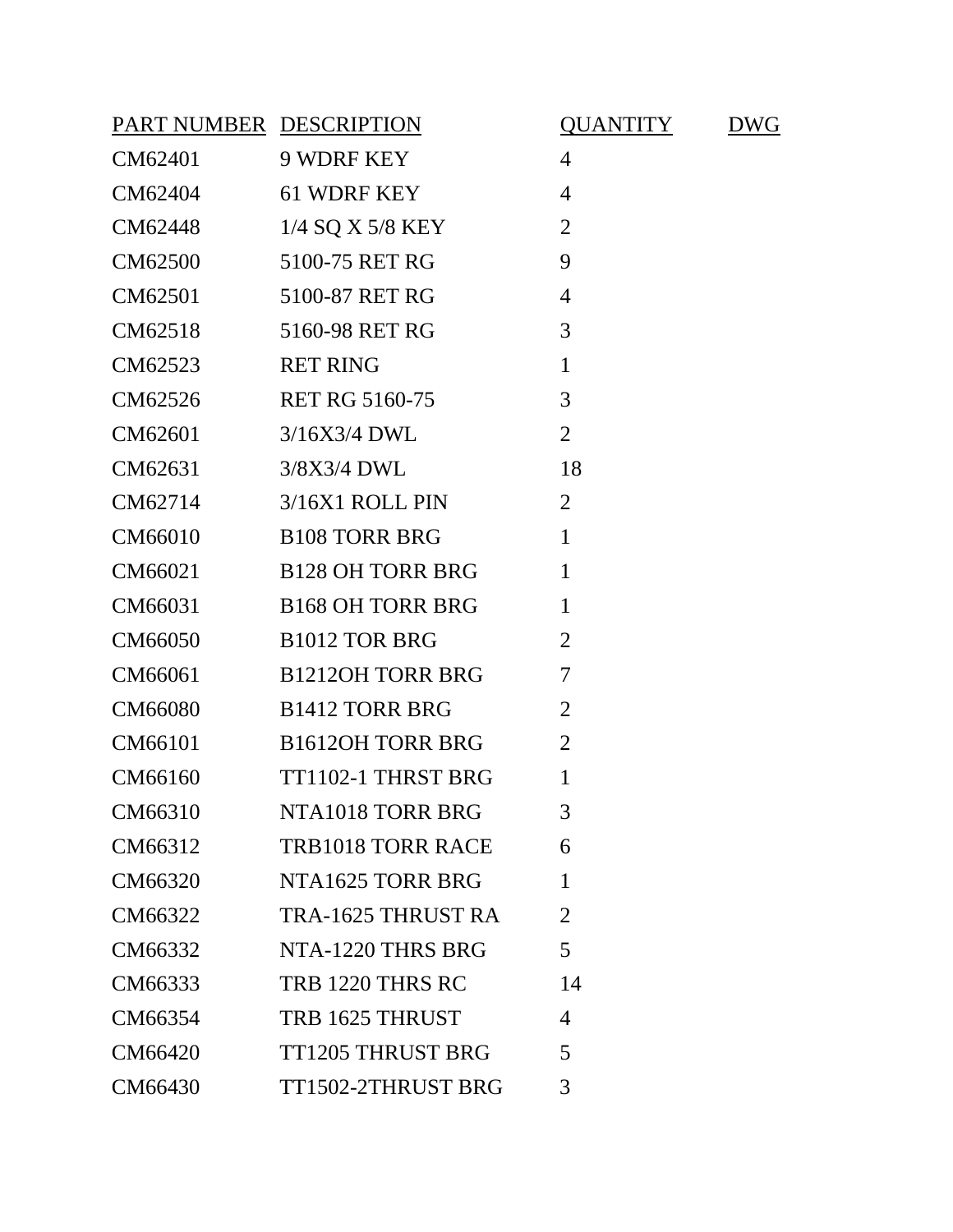| PART NUMBER DESCRIPTION |                          | <b>QUANTITY</b> | DWG |
|-------------------------|--------------------------|-----------------|-----|
| CM62401                 | 9 WDRF KEY               | $\overline{4}$  |     |
| CM62404                 | 61 WDRF KEY              | $\overline{4}$  |     |
| CM62448                 | 1/4 SQ X 5/8 KEY         | $\overline{2}$  |     |
| CM62500                 | 5100-75 RET RG           | 9               |     |
| CM62501                 | 5100-87 RET RG           | $\overline{4}$  |     |
| CM62518                 | 5160-98 RET RG           | 3               |     |
| CM62523                 | <b>RET RING</b>          | $\mathbf{1}$    |     |
| CM62526                 | <b>RET RG 5160-75</b>    | 3               |     |
| CM62601                 | 3/16X3/4 DWL             | $\overline{2}$  |     |
| CM62631                 | 3/8X3/4 DWL              | 18              |     |
| CM62714                 | 3/16X1 ROLL PIN          | $\overline{2}$  |     |
| CM66010                 | <b>B108 TORR BRG</b>     | $\mathbf{1}$    |     |
| CM66021                 | <b>B128 OH TORR BRG</b>  | $\mathbf{1}$    |     |
| CM66031                 | <b>B168 OH TORR BRG</b>  | $\mathbf{1}$    |     |
| CM66050                 | <b>B1012 TOR BRG</b>     | $\overline{2}$  |     |
| CM66061                 | <b>B1212OH TORR BRG</b>  | $\overline{7}$  |     |
| CM66080                 | <b>B1412 TORR BRG</b>    | $\overline{2}$  |     |
| CM66101                 | <b>B1612OH TORR BRG</b>  | $\overline{2}$  |     |
| CM66160                 | TT1102-1 THRST BRG       | 1               |     |
| CM66310                 | NTA1018 TORR BRG         | 3               |     |
| CM66312                 | <b>TRB1018 TORR RACE</b> | 6               |     |
| CM66320                 | NTA1625 TORR BRG         | $\mathbf{1}$    |     |
| CM66322                 | TRA-1625 THRUST RA       | $\overline{2}$  |     |
| CM66332                 | NTA-1220 THRS BRG        | 5               |     |
| CM66333                 | TRB 1220 THRS RC         | 14              |     |
| CM66354                 | TRB 1625 THRUST          | $\overline{4}$  |     |
| CM66420                 | <b>TT1205 THRUST BRG</b> | 5               |     |
| CM66430                 | TT1502-2THRUST BRG       | 3               |     |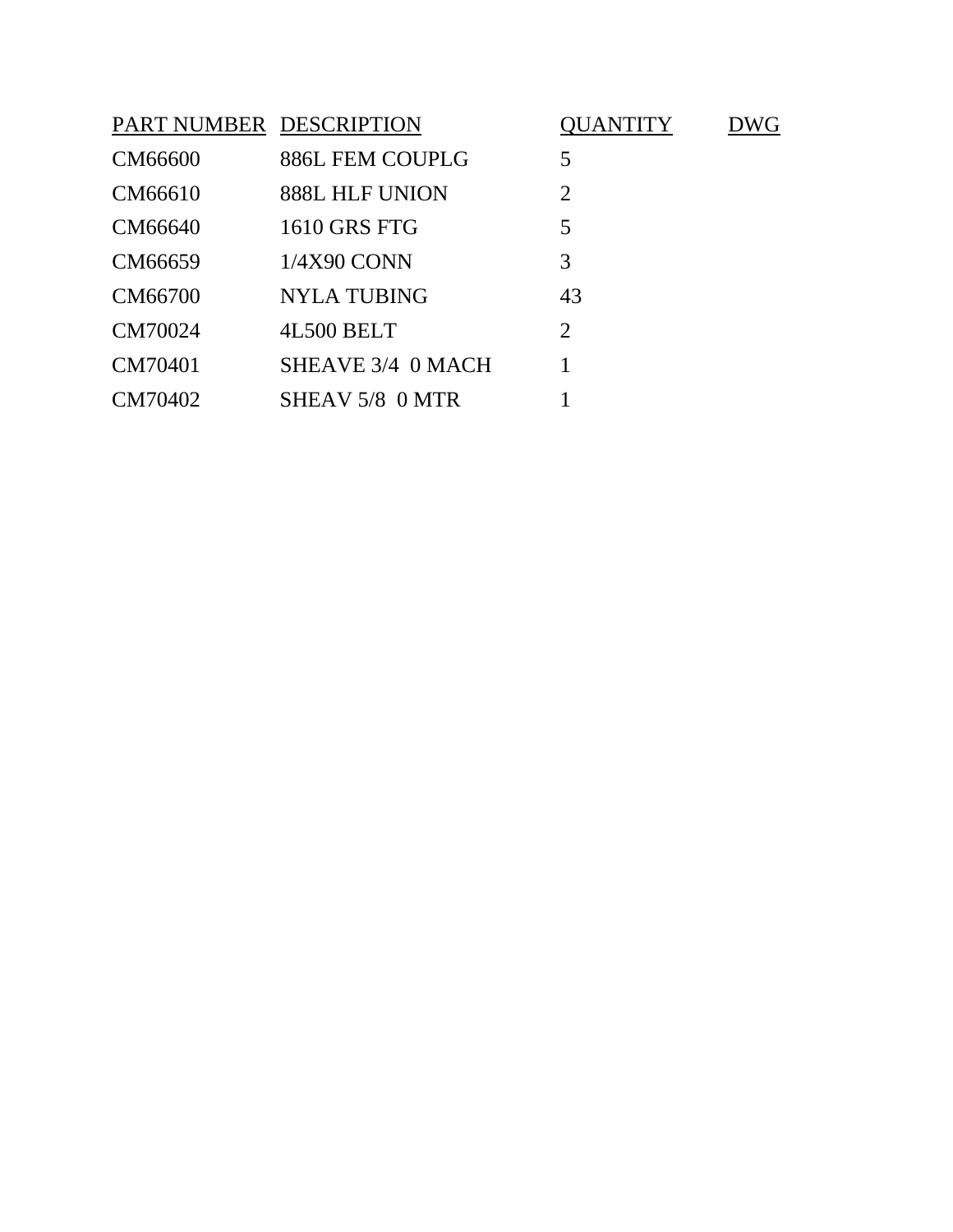| PART NUMBER DESCRIPTION |                    | UANTITY        |  |
|-------------------------|--------------------|----------------|--|
| CM66600                 | 886L FEM COUPLG    | 5              |  |
| CM66610                 | 888L HLF UNION     | $\overline{2}$ |  |
| CM66640                 | 1610 GRS FTG       | 5              |  |
| CM66659                 | 1/4X90 CONN        | 3              |  |
| CM66700                 | <b>NYLA TUBING</b> | 43             |  |
| CM70024                 | 4L500 BELT         | $\overline{2}$ |  |
| CM70401                 | SHEAVE 3/4 0 MACH  |                |  |
| CM70402                 | SHEAV 5/8 0 MTR    |                |  |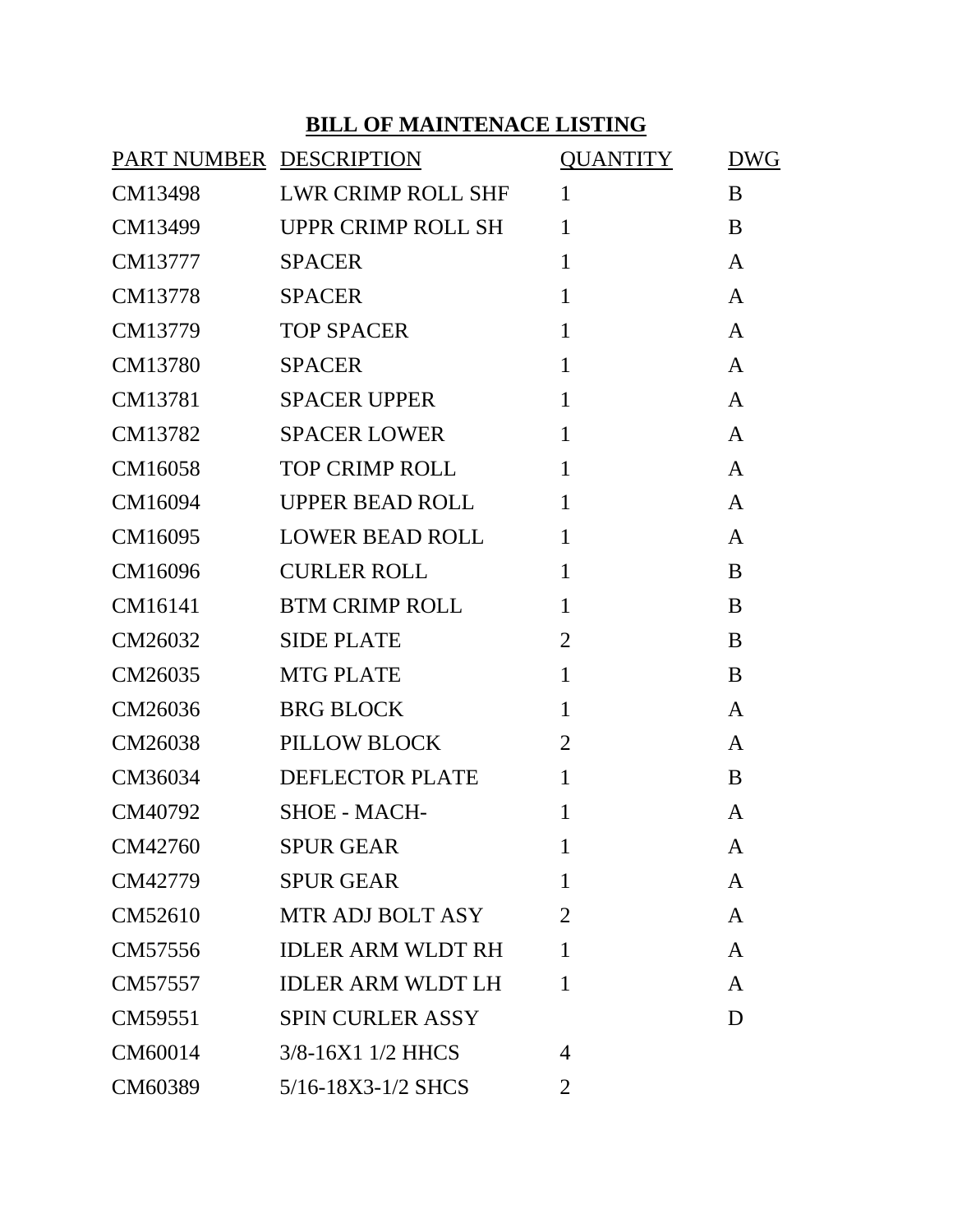#### **BILL OF MAINTENACE LISTING**

| PART NUMBER DESCRIPTION |                          | <b>QUANTITY</b> | <b>DWG</b>   |
|-------------------------|--------------------------|-----------------|--------------|
| CM13498                 | LWR CRIMP ROLL SHF       | $\mathbf{1}$    | B            |
| CM13499                 | UPPR CRIMP ROLL SH       | $\mathbf{1}$    | B            |
| CM13777                 | <b>SPACER</b>            | $\mathbf{1}$    | $\mathsf{A}$ |
| CM13778                 | <b>SPACER</b>            | $\mathbf{1}$    | A            |
| CM13779                 | <b>TOP SPACER</b>        | $\mathbf{1}$    | $\mathsf{A}$ |
| CM13780                 | <b>SPACER</b>            | $\mathbf{1}$    | $\mathsf{A}$ |
| CM13781                 | <b>SPACER UPPER</b>      | $\mathbf{1}$    | $\mathsf{A}$ |
| CM13782                 | <b>SPACER LOWER</b>      | $\mathbf{1}$    | $\mathsf{A}$ |
| CM16058                 | <b>TOP CRIMP ROLL</b>    | $\mathbf{1}$    | $\mathsf{A}$ |
| CM16094                 | UPPER BEAD ROLL          | $\mathbf{1}$    | $\mathsf{A}$ |
| CM16095                 | <b>LOWER BEAD ROLL</b>   | $\mathbf{1}$    | $\mathsf{A}$ |
| CM16096                 | <b>CURLER ROLL</b>       | $\mathbf{1}$    | B            |
| CM16141                 | <b>BTM CRIMP ROLL</b>    | $\mathbf{1}$    | B            |
| CM26032                 | <b>SIDE PLATE</b>        | $\overline{2}$  | B            |
| CM26035                 | <b>MTG PLATE</b>         | $\mathbf{1}$    | B            |
| CM26036                 | <b>BRG BLOCK</b>         | $\mathbf{1}$    | A            |
| CM26038                 | PILLOW BLOCK             | $\overline{2}$  | A            |
| CM36034                 | <b>DEFLECTOR PLATE</b>   | $\mathbf{1}$    | B            |
| CM40792                 | <b>SHOE - MACH-</b>      | $\mathbf{1}$    | A            |
| CM42760                 | <b>SPUR GEAR</b>         | 1               | A            |
| CM42779                 | <b>SPUR GEAR</b>         | 1               | $\mathsf{A}$ |
| CM52610                 | <b>MTR ADJ BOLT ASY</b>  | $\overline{2}$  | $\mathsf{A}$ |
| CM57556                 | <b>IDLER ARM WLDT RH</b> | 1               | $\mathsf{A}$ |
| CM57557                 | <b>IDLER ARM WLDT LH</b> | $\mathbf{1}$    | A            |
| CM59551                 | <b>SPIN CURLER ASSY</b>  |                 | D            |
| CM60014                 | 3/8-16X1 1/2 HHCS        | 4               |              |
| CM60389                 | 5/16-18X3-1/2 SHCS       | 2               |              |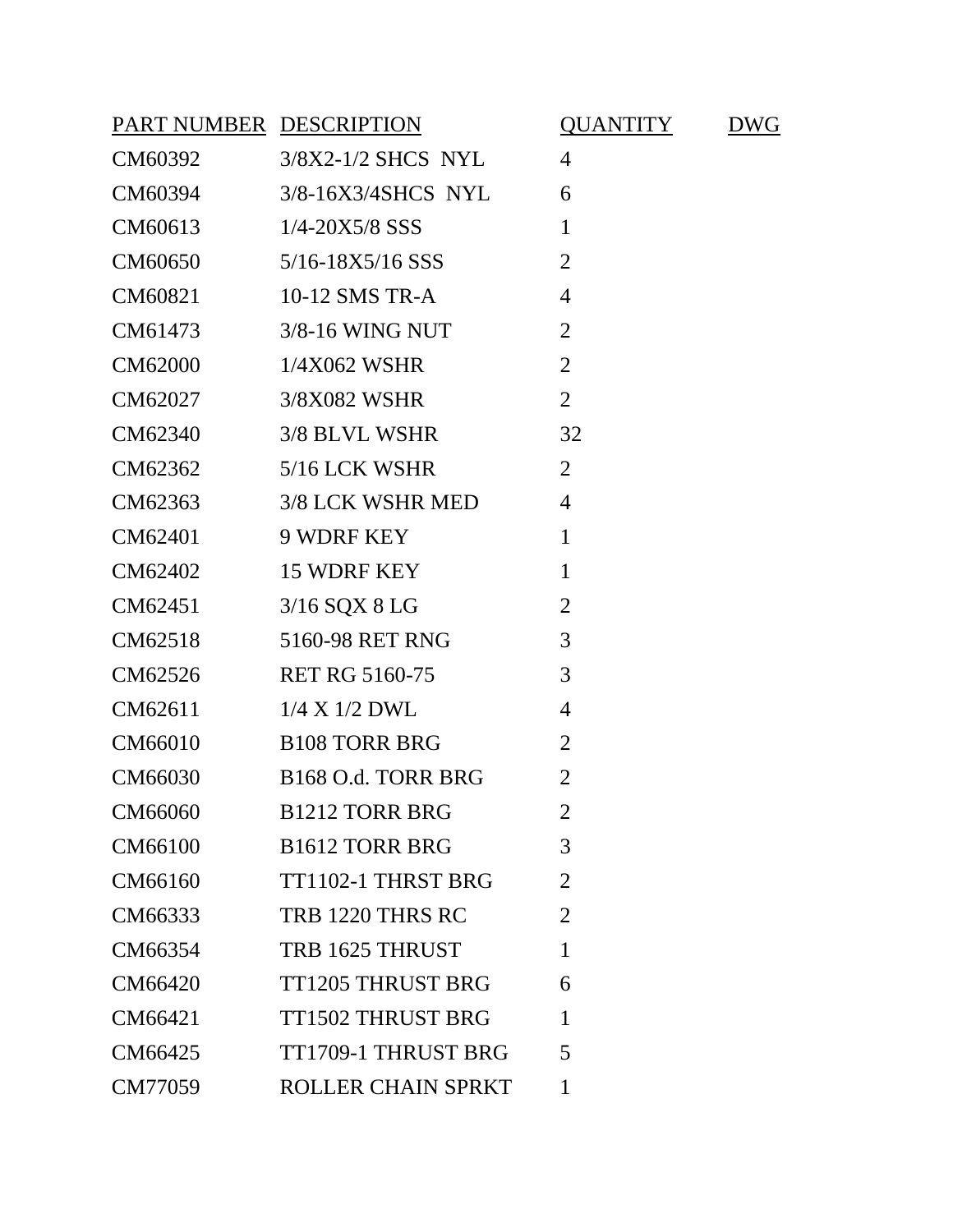| PART NUMBER DESCRIPTION |                                | <b>QUANTITY</b> | <b>DWG</b> |
|-------------------------|--------------------------------|-----------------|------------|
| CM60392                 | 3/8X2-1/2 SHCS NYL             | $\overline{4}$  |            |
| CM60394                 | 3/8-16X3/4SHCS NYL             | 6               |            |
| CM60613 1/4-20X5/8 SSS  |                                | $\mathbf{1}$    |            |
|                         | CM60650 5/16-18X5/16 SSS       | $\overline{2}$  |            |
| CM60821                 | 10-12 SMS TR-A                 | $\overline{4}$  |            |
| CM61473                 | 3/8-16 WING NUT                | $\overline{2}$  |            |
| CM62000                 | 1/4X062 WSHR                   | $\overline{2}$  |            |
| CM62027                 | 3/8X082 WSHR                   | $\overline{2}$  |            |
| CM62340                 | 3/8 BLVL WSHR                  | 32              |            |
| CM62362                 | 5/16 LCK WSHR                  | $\overline{2}$  |            |
| CM62363                 | 3/8 LCK WSHR MED               | $\overline{4}$  |            |
| CM62401                 | 9 WDRF KEY                     | $\mathbf{1}$    |            |
| CM62402                 | 15 WDRF KEY                    | $\mathbf{1}$    |            |
| CM62451                 | 3/16 SQX 8 LG                  | $\overline{2}$  |            |
| CM62518                 | 5160-98 RET RNG                | 3               |            |
| CM62526                 | <b>RET RG 5160-75</b>          | 3               |            |
| CM62611                 | $1/4$ X $1/2$ DWL              | $\overline{4}$  |            |
| CM66010                 | <b>B108 TORR BRG</b>           | $\overline{2}$  |            |
| CM66030                 | B <sub>168</sub> O.d. TORR BRG | $\overline{2}$  |            |
| CM66060                 | <b>B1212 TORR BRG</b>          | $\overline{2}$  |            |
| CM66100                 | <b>B1612 TORR BRG</b>          | 3               |            |
| CM66160                 | TT1102-1 THRST BRG             | $\overline{2}$  |            |
| CM66333                 | TRB 1220 THRS RC               | $\overline{2}$  |            |
| CM66354                 | TRB 1625 THRUST                | $\mathbf{1}$    |            |
| CM66420                 | <b>TT1205 THRUST BRG</b>       | 6               |            |
| CM66421                 | <b>TT1502 THRUST BRG</b>       | 1               |            |
| CM66425                 | TT1709-1 THRUST BRG            | 5               |            |
| CM77059                 | <b>ROLLER CHAIN SPRKT</b>      | 1               |            |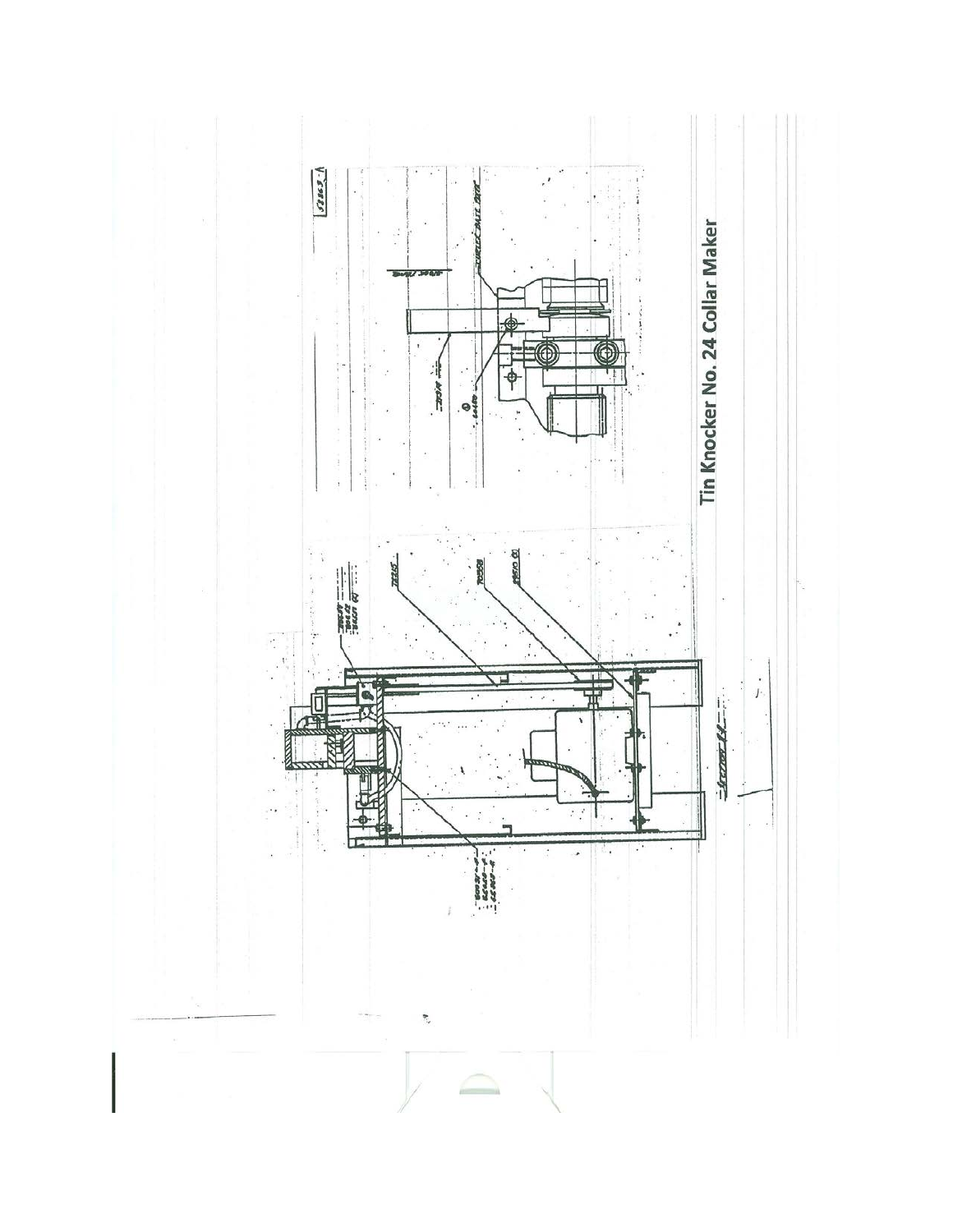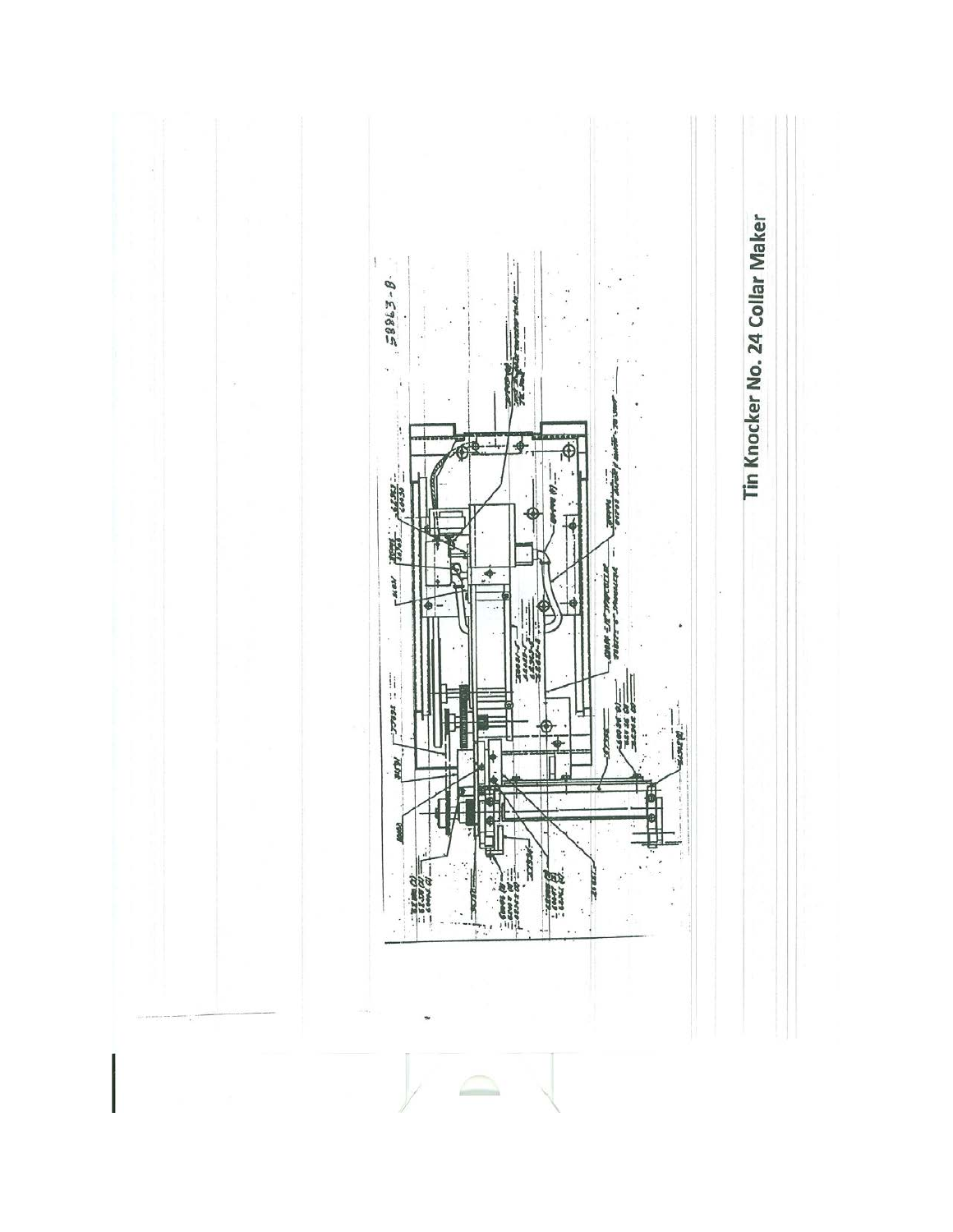